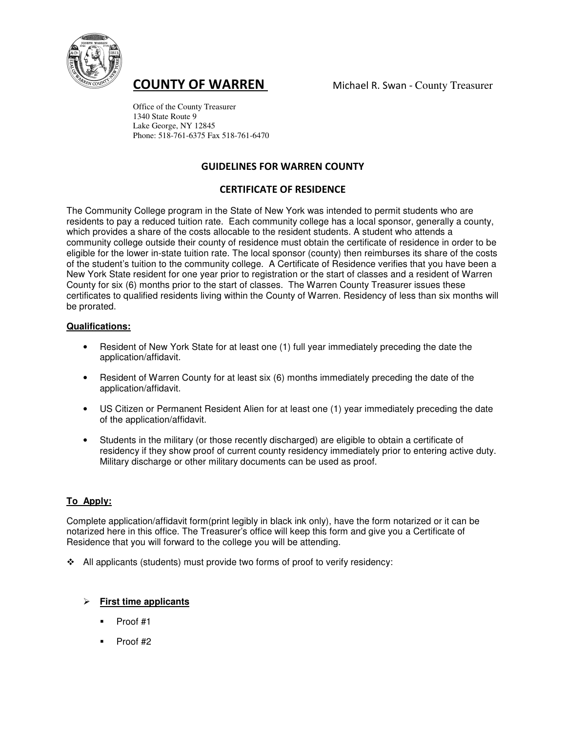

**COUNTY OF WARREN** Michael R. Swan - County Treasurer

 Office of the County Treasurer 1340 State Route 9 Lake George, NY 12845 Phone: 518-761-6375 Fax 518-761-6470

# GUIDELINES FOR WARREN COUNTY

# CERTIFICATE OF RESIDENCE

The Community College program in the State of New York was intended to permit students who are residents to pay a reduced tuition rate. Each community college has a local sponsor, generally a county, which provides a share of the costs allocable to the resident students. A student who attends a community college outside their county of residence must obtain the certificate of residence in order to be eligible for the lower in-state tuition rate. The local sponsor (county) then reimburses its share of the costs of the student's tuition to the community college. A Certificate of Residence verifies that you have been a New York State resident for one year prior to registration or the start of classes and a resident of Warren County for six (6) months prior to the start of classes. The Warren County Treasurer issues these certificates to qualified residents living within the County of Warren. Residency of less than six months will be prorated.

### **Qualifications:**

- Resident of New York State for at least one (1) full year immediately preceding the date the application/affidavit.
- Resident of Warren County for at least six (6) months immediately preceding the date of the application/affidavit.
- US Citizen or Permanent Resident Alien for at least one (1) year immediately preceding the date of the application/affidavit.
- Students in the military (or those recently discharged) are eligible to obtain a certificate of residency if they show proof of current county residency immediately prior to entering active duty. Military discharge or other military documents can be used as proof.

# **To\_Apply:**

Complete application/affidavit form(print legibly in black ink only), have the form notarized or it can be notarized here in this office. The Treasurer's office will keep this form and give you a Certificate of Residence that you will forward to the college you will be attending.

 $\triangleleft$  All applicants (students) must provide two forms of proof to verify residency:

# - **First time applicants**

- $\blacksquare$  Proof #1
- $\blacksquare$  Proof #2